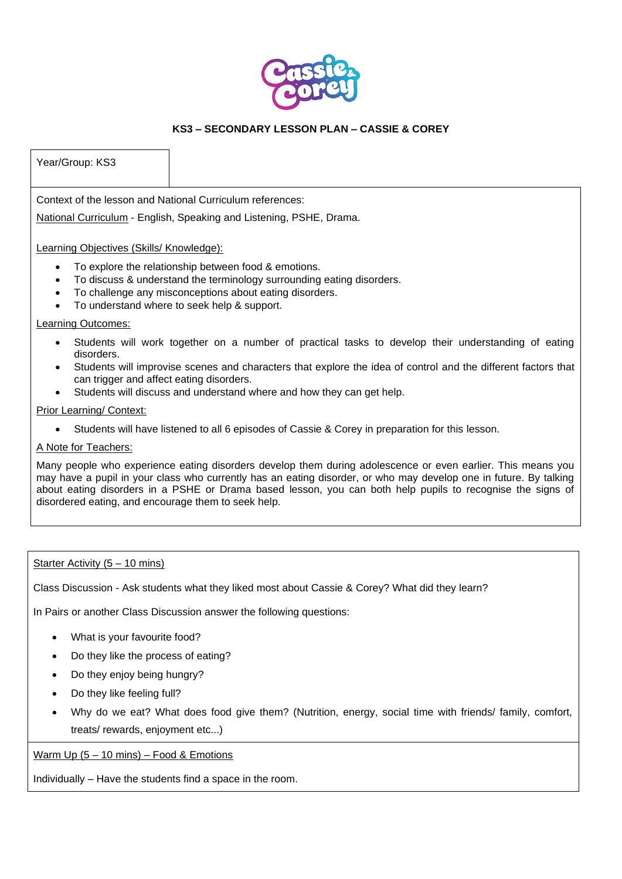

## Year/Group: KS3

Context of the lesson and National Curriculum references:

National Curriculum - English, Speaking and Listening, PSHE, Drama.

Learning Objectives (Skills/ Knowledge):

- To explore the relationship between food & emotions.
- To discuss & understand the terminology surrounding eating disorders.
- To challenge any misconceptions about eating disorders.
- To understand where to seek help & support.

## Learning Outcomes:

- Students will work together on a number of practical tasks to develop their understanding of eating disorders.
- Students will improvise scenes and characters that explore the idea of control and the different factors that can trigger and affect eating disorders.
- Students will discuss and understand where and how they can get help.

## Prior Learning/ Context:

• Students will have listened to all 6 episodes of Cassie & Corey in preparation for this lesson.

## A Note for Teachers:

Many people who experience eating disorders develop them during adolescence or even earlier. This means you may have a pupil in your class who currently has an eating disorder, or who may develop one in future. By talking about eating disorders in a PSHE or Drama based lesson, you can both help pupils to recognise the signs of disordered eating, and encourage them to seek help.

## Starter Activity (5 – 10 mins)

Class Discussion - Ask students what they liked most about Cassie & Corey? What did they learn?

In Pairs or another Class Discussion answer the following questions:

- What is your favourite food?
- Do they like the process of eating?
- Do they enjoy being hungry?
- Do they like feeling full?
- Why do we eat? What does food give them? (Nutrition, energy, social time with friends/ family, comfort, treats/ rewards, enjoyment etc...)

Warm Up (5 – 10 mins) – Food & Emotions

Individually – Have the students find a space in the room.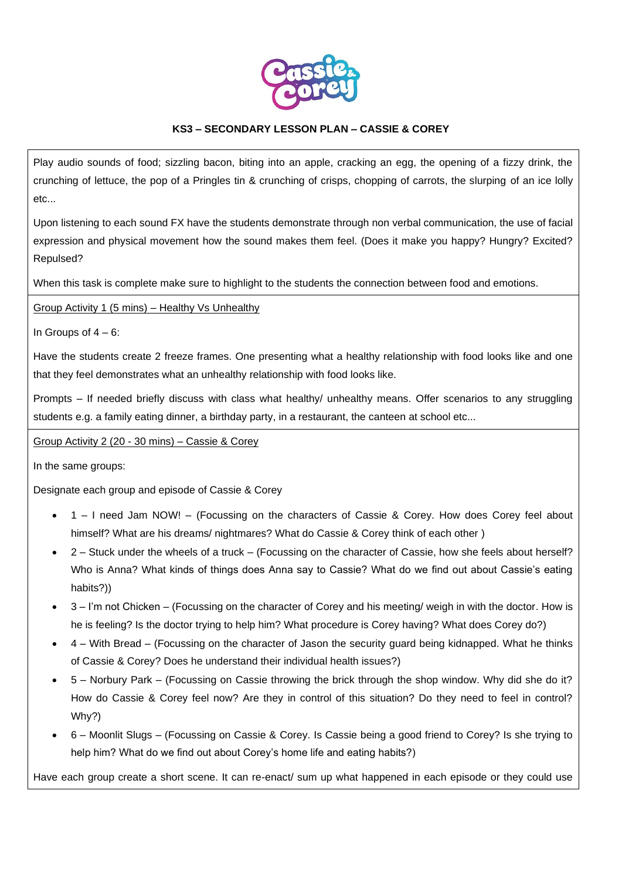

Play audio sounds of food; sizzling bacon, biting into an apple, cracking an egg, the opening of a fizzy drink, the crunching of lettuce, the pop of a Pringles tin & crunching of crisps, chopping of carrots, the slurping of an ice lolly etc...

Upon listening to each sound FX have the students demonstrate through non verbal communication, the use of facial expression and physical movement how the sound makes them feel. (Does it make you happy? Hungry? Excited? Repulsed?

When this task is complete make sure to highlight to the students the connection between food and emotions.

Group Activity 1 (5 mins) – Healthy Vs Unhealthy

In Groups of  $4 - 6$ :

Have the students create 2 freeze frames. One presenting what a healthy relationship with food looks like and one that they feel demonstrates what an unhealthy relationship with food looks like.

Prompts – If needed briefly discuss with class what healthy/ unhealthy means. Offer scenarios to any struggling students e.g. a family eating dinner, a birthday party, in a restaurant, the canteen at school etc...

Group Activity 2 (20 - 30 mins) – Cassie & Corey

In the same groups:

Designate each group and episode of Cassie & Corey

- 1 I need Jam NOW! (Focussing on the characters of Cassie & Corey. How does Corey feel about himself? What are his dreams/ nightmares? What do Cassie & Corey think of each other )
- 2 Stuck under the wheels of a truck (Focussing on the character of Cassie, how she feels about herself? Who is Anna? What kinds of things does Anna say to Cassie? What do we find out about Cassie's eating habits?))
- 3 I'm not Chicken (Focussing on the character of Corey and his meeting/ weigh in with the doctor. How is he is feeling? Is the doctor trying to help him? What procedure is Corey having? What does Corey do?)
- 4 With Bread (Focussing on the character of Jason the security guard being kidnapped. What he thinks of Cassie & Corey? Does he understand their individual health issues?)
- 5 Norbury Park (Focussing on Cassie throwing the brick through the shop window. Why did she do it? How do Cassie & Corey feel now? Are they in control of this situation? Do they need to feel in control? Why?)
- 6 Moonlit Slugs (Focussing on Cassie & Corey. Is Cassie being a good friend to Corey? Is she trying to help him? What do we find out about Corey's home life and eating habits?)

Have each group create a short scene. It can re-enact/ sum up what happened in each episode or they could use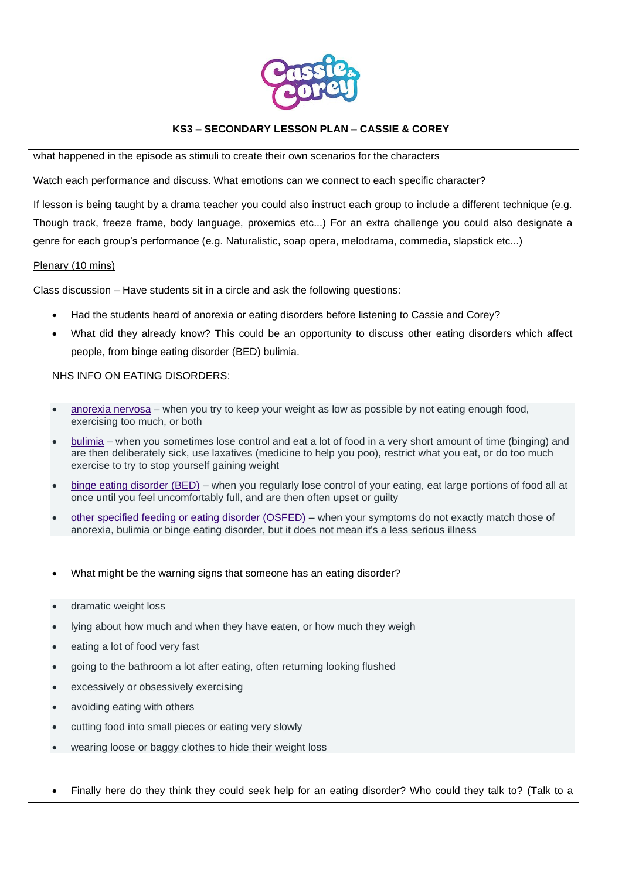

what happened in the episode as stimuli to create their own scenarios for the characters

Watch each performance and discuss. What emotions can we connect to each specific character?

If lesson is being taught by a drama teacher you could also instruct each group to include a different technique (e.g. Though track, freeze frame, body language, proxemics etc...) For an extra challenge you could also designate a genre for each group's performance (e.g. Naturalistic, soap opera, melodrama, commedia, slapstick etc...)

#### Plenary (10 mins)

Class discussion – Have students sit in a circle and ask the following questions:

- Had the students heard of anorexia or eating disorders before listening to Cassie and Corey?
- What did they already know? This could be an opportunity to discuss other eating disorders which affect people, from binge eating disorder (BED) bulimia.

# NHS INFO ON EATING DISORDERS:

- [anorexia nervosa](https://www.nhs.uk/conditions/anorexia/) when you try to keep your weight as low as possible by not eating enough food, exercising too much, or both
- [bulimia](https://www.nhs.uk/conditions/bulimia/) when you sometimes lose control and eat a lot of food in a very short amount of time (binging) and are then deliberately sick, use laxatives (medicine to help you poo), restrict what you eat, or do too much exercise to try to stop yourself gaining weight
- binge eating [disorder \(BED\)](https://www.nhs.uk/conditions/binge-eating/) when you regularly lose control of your eating, eat large portions of food all at once until you feel uncomfortably full, and are then often upset or guilty
- [other specified feeding or eating disorder \(OSFED\)](https://www.beateatingdisorders.org.uk/types/osfed) when your symptoms do not exactly match those of anorexia, bulimia or binge eating disorder, but it does not mean it's a less serious illness
- What might be the warning signs that someone has an eating disorder?
- dramatic weight loss
- lying about how much and when they have eaten, or how much they weigh
- eating a lot of food very fast
- going to the bathroom a lot after eating, often returning looking flushed
- excessively or obsessively exercising
- avoiding eating with others
- cutting food into small pieces or eating very slowly
- wearing loose or baggy clothes to hide their weight loss

• Finally here do they think they could seek help for an eating disorder? Who could they talk to? (Talk to a